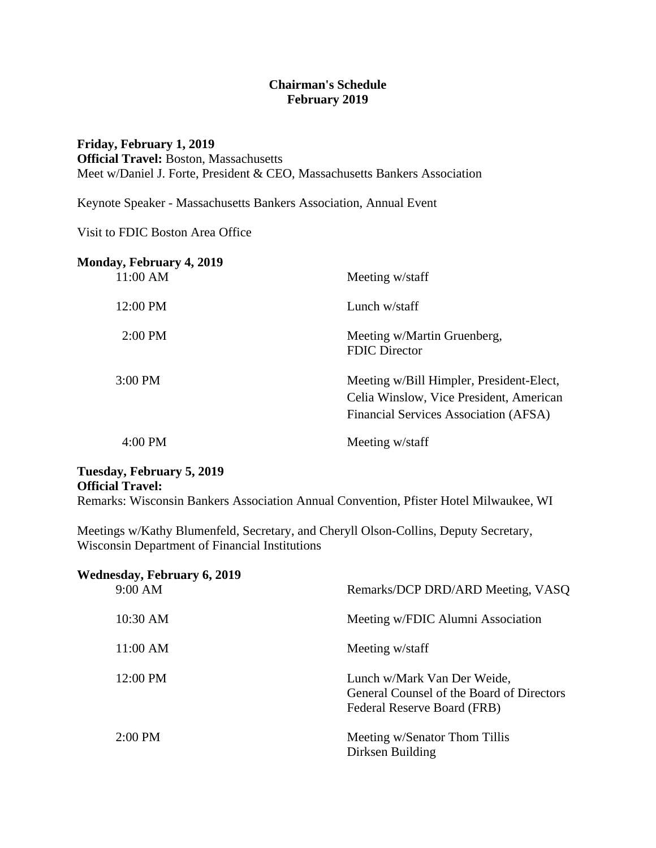## **Chairman's Schedule February 2019**

**Friday, February 1, 2019 Official Travel:** Boston, Massachusetts Meet w/Daniel J. Forte, President & CEO, Massachusetts Bankers Association

Keynote Speaker - Massachusetts Bankers Association, Annual Event

Visit to FDIC Boston Area Office

| Monday, February 4, 2019<br>11:00 AM | Meeting w/staff                                                                                                              |
|--------------------------------------|------------------------------------------------------------------------------------------------------------------------------|
| 12:00 PM                             | Lunch $w$ /staff                                                                                                             |
| $2:00 \text{ PM}$                    | Meeting w/Martin Gruenberg,<br><b>FDIC</b> Director                                                                          |
| $3:00$ PM                            | Meeting w/Bill Himpler, President-Elect,<br>Celia Winslow, Vice President, American<br>Financial Services Association (AFSA) |
| $4:00 \text{ PM}$                    | Meeting w/staff                                                                                                              |

## **Tuesday, February 5, 2019 Official Travel:**

Remarks: Wisconsin Bankers Association Annual Convention, Pfister Hotel Milwaukee, WI

Meetings w/Kathy Blumenfeld, Secretary, and Cheryll Olson-Collins, Deputy Secretary, Wisconsin Department of Financial Institutions

| <b>Wednesday, February 6, 2019</b><br>9:00 AM | Remarks/DCP DRD/ARD Meeting, VASQ                                                                       |
|-----------------------------------------------|---------------------------------------------------------------------------------------------------------|
| 10:30 AM                                      | Meeting w/FDIC Alumni Association                                                                       |
| 11:00 AM                                      | Meeting w/staff                                                                                         |
| 12:00 PM                                      | Lunch w/Mark Van Der Weide,<br>General Counsel of the Board of Directors<br>Federal Reserve Board (FRB) |
| $2:00 \text{ PM}$                             | Meeting w/Senator Thom Tillis<br>Dirksen Building                                                       |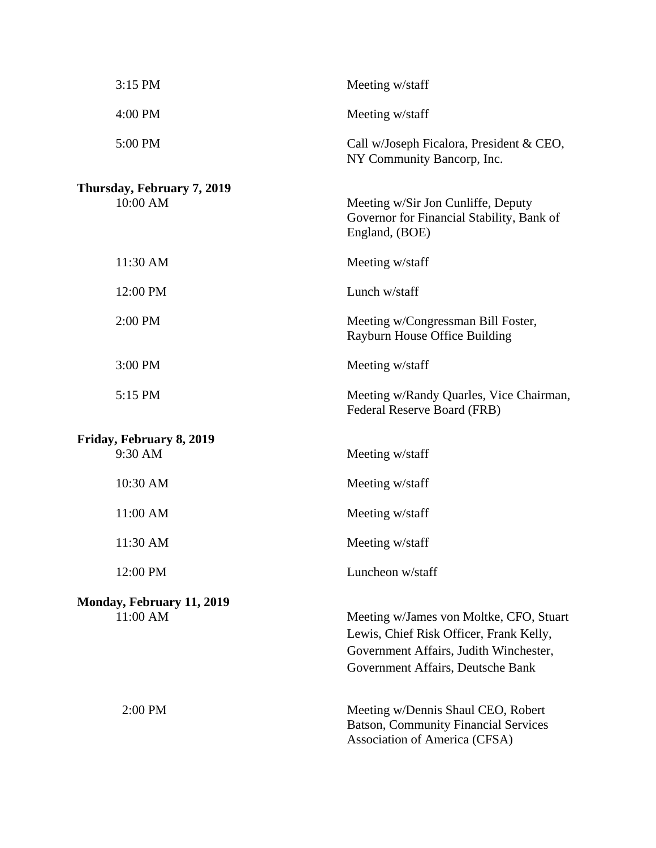| 3:15 PM                                | Meeting w/staff                                                                                                                                                   |
|----------------------------------------|-------------------------------------------------------------------------------------------------------------------------------------------------------------------|
| 4:00 PM                                | Meeting w/staff                                                                                                                                                   |
| 5:00 PM                                | Call w/Joseph Ficalora, President & CEO,<br>NY Community Bancorp, Inc.                                                                                            |
| Thursday, February 7, 2019<br>10:00 AM | Meeting w/Sir Jon Cunliffe, Deputy<br>Governor for Financial Stability, Bank of<br>England, (BOE)                                                                 |
| 11:30 AM                               | Meeting w/staff                                                                                                                                                   |
| 12:00 PM                               | Lunch w/staff                                                                                                                                                     |
| 2:00 PM                                | Meeting w/Congressman Bill Foster,<br>Rayburn House Office Building                                                                                               |
| 3:00 PM                                | Meeting w/staff                                                                                                                                                   |
| 5:15 PM                                | Meeting w/Randy Quarles, Vice Chairman,<br>Federal Reserve Board (FRB)                                                                                            |
| Friday, February 8, 2019<br>9:30 AM    | Meeting w/staff                                                                                                                                                   |
| 10:30 AM                               | Meeting w/staff                                                                                                                                                   |
| 11:00 AM                               | Meeting w/staff                                                                                                                                                   |
| 11:30 AM                               | Meeting w/staff                                                                                                                                                   |
| 12:00 PM                               | Luncheon w/staff                                                                                                                                                  |
| Monday, February 11, 2019<br>11:00 AM  | Meeting w/James von Moltke, CFO, Stuart<br>Lewis, Chief Risk Officer, Frank Kelly,<br>Government Affairs, Judith Winchester,<br>Government Affairs, Deutsche Bank |
| $2:00$ PM                              | Meeting w/Dennis Shaul CEO, Robert<br><b>Batson, Community Financial Services</b><br>Association of America (CFSA)                                                |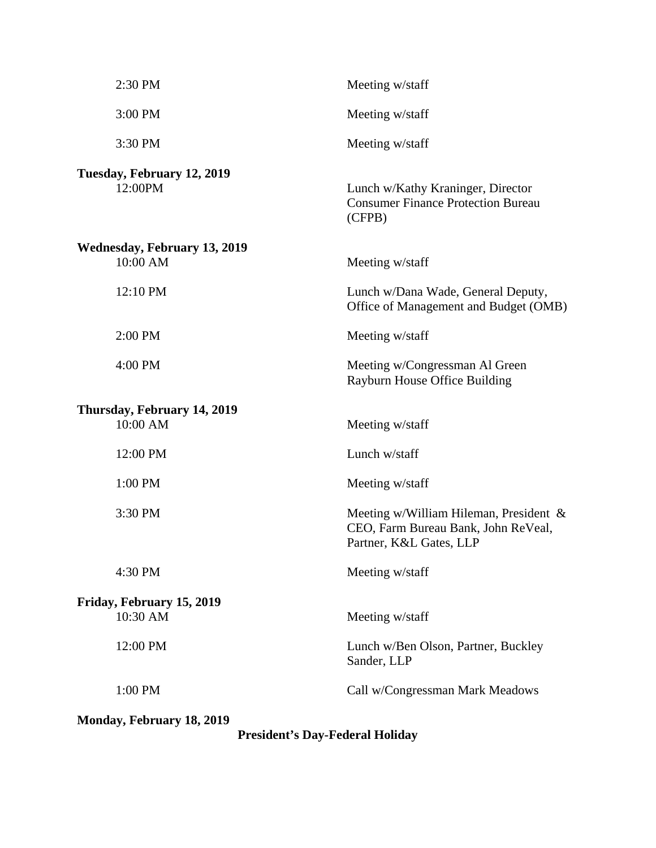| 2:30 PM                                         | Meeting w/staff                                                                                             |
|-------------------------------------------------|-------------------------------------------------------------------------------------------------------------|
| 3:00 PM                                         | Meeting w/staff                                                                                             |
| 3:30 PM                                         | Meeting w/staff                                                                                             |
| Tuesday, February 12, 2019<br>12:00PM           | Lunch w/Kathy Kraninger, Director<br><b>Consumer Finance Protection Bureau</b><br>(CFPB)                    |
| <b>Wednesday, February 13, 2019</b><br>10:00 AM | Meeting w/staff                                                                                             |
| 12:10 PM                                        | Lunch w/Dana Wade, General Deputy,<br>Office of Management and Budget (OMB)                                 |
| 2:00 PM                                         | Meeting w/staff                                                                                             |
| 4:00 PM                                         | Meeting w/Congressman Al Green<br>Rayburn House Office Building                                             |
| Thursday, February 14, 2019<br>10:00 AM         | Meeting w/staff                                                                                             |
| 12:00 PM                                        | Lunch w/staff                                                                                               |
| 1:00 PM                                         | Meeting w/staff                                                                                             |
| 3:30 PM                                         | Meeting w/William Hileman, President $\&$<br>CEO, Farm Bureau Bank, John ReVeal,<br>Partner, K&L Gates, LLP |
| 4:30 PM                                         | Meeting w/staff                                                                                             |
| Friday, February 15, 2019<br>10:30 AM           | Meeting w/staff                                                                                             |
| 12:00 PM                                        | Lunch w/Ben Olson, Partner, Buckley<br>Sander, LLP                                                          |
| 1:00 PM                                         | Call w/Congressman Mark Meadows                                                                             |
| <b>Monday, February 18, 2019</b>                |                                                                                                             |

**President's Day-Federal Holiday**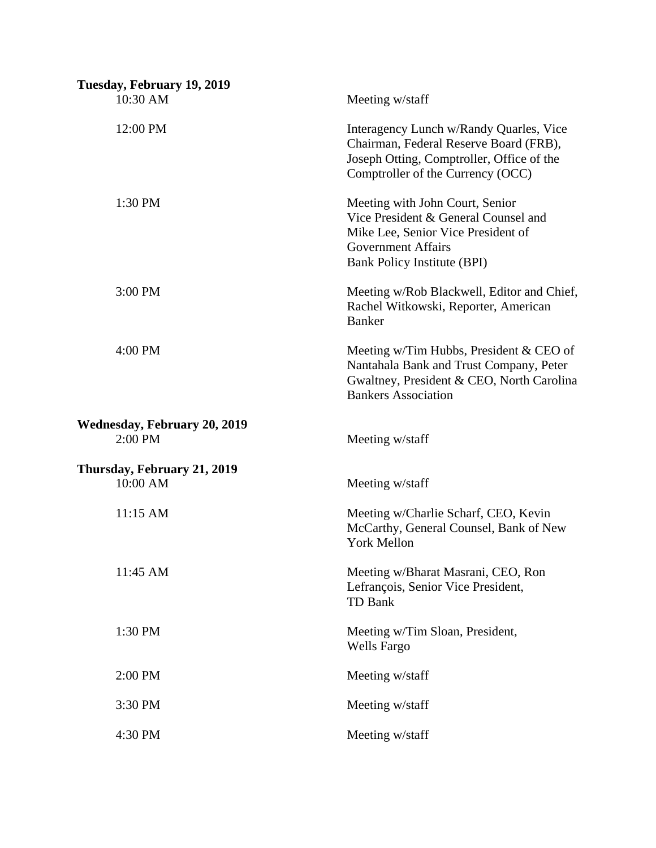| Tuesday, February 19, 2019<br>10:30 AM           | Meeting w/staff                                                                                                                                                           |
|--------------------------------------------------|---------------------------------------------------------------------------------------------------------------------------------------------------------------------------|
| 12:00 PM                                         | Interagency Lunch w/Randy Quarles, Vice<br>Chairman, Federal Reserve Board (FRB),<br>Joseph Otting, Comptroller, Office of the<br>Comptroller of the Currency (OCC)       |
| 1:30 PM                                          | Meeting with John Court, Senior<br>Vice President & General Counsel and<br>Mike Lee, Senior Vice President of<br><b>Government Affairs</b><br>Bank Policy Institute (BPI) |
| 3:00 PM                                          | Meeting w/Rob Blackwell, Editor and Chief,<br>Rachel Witkowski, Reporter, American<br><b>Banker</b>                                                                       |
| 4:00 PM                                          | Meeting w/Tim Hubbs, President & CEO of<br>Nantahala Bank and Trust Company, Peter<br>Gwaltney, President & CEO, North Carolina<br><b>Bankers Association</b>             |
| <b>Wednesday, February 20, 2019</b><br>$2:00$ PM | Meeting w/staff                                                                                                                                                           |
| Thursday, February 21, 2019                      |                                                                                                                                                                           |
| 10:00 AM                                         | Meeting w/staff                                                                                                                                                           |
| 11:15 AM                                         | Meeting w/Charlie Scharf, CEO, Kevin<br>McCarthy, General Counsel, Bank of New<br><b>York Mellon</b>                                                                      |
| 11:45 AM                                         | Meeting w/Bharat Masrani, CEO, Ron<br>Lefrançois, Senior Vice President,<br><b>TD Bank</b>                                                                                |
| 1:30 PM                                          | Meeting w/Tim Sloan, President,<br><b>Wells Fargo</b>                                                                                                                     |
| 2:00 PM                                          | Meeting w/staff                                                                                                                                                           |
| 3:30 PM                                          | Meeting w/staff                                                                                                                                                           |
| 4:30 PM                                          | Meeting w/staff                                                                                                                                                           |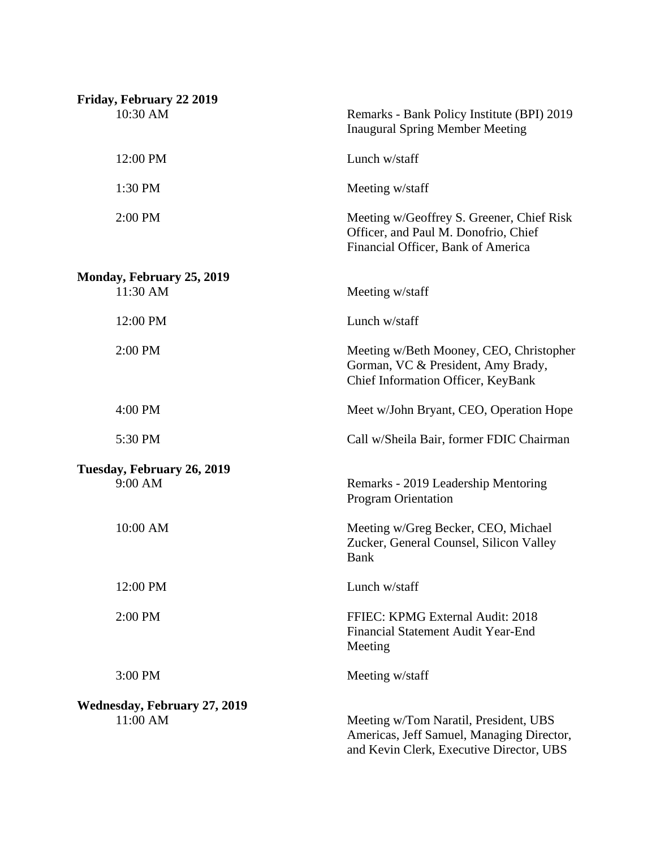| Friday, February 22 2019                     |                                                                                                                                |
|----------------------------------------------|--------------------------------------------------------------------------------------------------------------------------------|
| 10:30 AM                                     | Remarks - Bank Policy Institute (BPI) 2019<br><b>Inaugural Spring Member Meeting</b>                                           |
| 12:00 PM                                     | Lunch w/staff                                                                                                                  |
| 1:30 PM                                      | Meeting w/staff                                                                                                                |
| 2:00 PM                                      | Meeting w/Geoffrey S. Greener, Chief Risk<br>Officer, and Paul M. Donofrio, Chief<br>Financial Officer, Bank of America        |
| <b>Monday, February 25, 2019</b><br>11:30 AM | Meeting w/staff                                                                                                                |
| 12:00 PM                                     | Lunch w/staff                                                                                                                  |
| 2:00 PM                                      | Meeting w/Beth Mooney, CEO, Christopher<br>Gorman, VC & President, Amy Brady,<br>Chief Information Officer, KeyBank            |
| 4:00 PM                                      | Meet w/John Bryant, CEO, Operation Hope                                                                                        |
| 5:30 PM                                      | Call w/Sheila Bair, former FDIC Chairman                                                                                       |
| Tuesday, February 26, 2019<br>9:00 AM        | Remarks - 2019 Leadership Mentoring<br><b>Program Orientation</b>                                                              |
| 10:00 AM                                     | Meeting w/Greg Becker, CEO, Michael<br>Zucker, General Counsel, Silicon Valley<br><b>Bank</b>                                  |
| 12:00 PM                                     | Lunch w/staff                                                                                                                  |
| 2:00 PM                                      | FFIEC: KPMG External Audit: 2018<br>Financial Statement Audit Year-End<br>Meeting                                              |
| 3:00 PM                                      | Meeting w/staff                                                                                                                |
| <b>Wednesday, February 27, 2019</b>          |                                                                                                                                |
| 11:00 AM                                     | Meeting w/Tom Naratil, President, UBS<br>Americas, Jeff Samuel, Managing Director,<br>and Kevin Clerk, Executive Director, UBS |